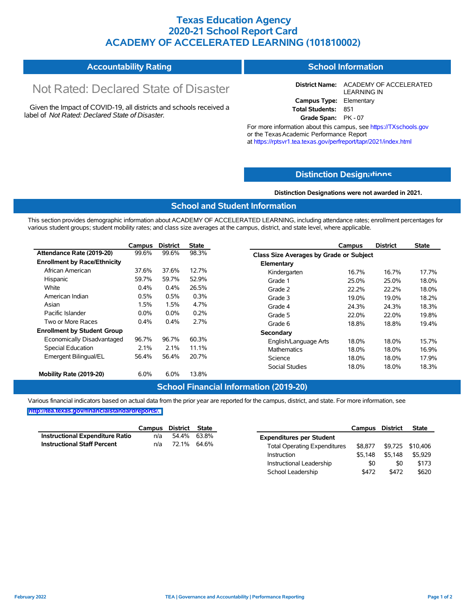## **Texas Education Agency 2020-21 School Report Card ACADEMY OF ACCELERATED LEARNING (101810002)**

| <b>Accountability Rating</b> | <b>School Information</b> |
|------------------------------|---------------------------|
|------------------------------|---------------------------|

# Not Rated: Declared State of Disaster

Given the Impact of COVID-19, all districts and schools received a label of *Not Rated: Declared State of Disaster.*

**District Name:** ACADEMY OF ACCELERATED LEARNING IN **Campus Type:** Elementary **Total Students:** 851 **Grade Span:** PK - 07

For more information about this campus, see https://TXschools.gov or the TexasAcademic Performance Report at https://rptsvr1.tea.texas.gov/perfreport/tapr/2021/index.html

## **Distinction Design[ations](https://TXschools.gov)**

**Distinction Designations were not awarded in 2021.**

School Leadership  $$472$  \$472 \$620

#### **School and Student Information**

This section provides demographic information about ACADEMY OF ACCELERATED LEARNING, including attendance rates; enrollment percentages for various student groups; student mobility rates; and class size averages at the campus, district, and state level, where applicable.

|                                     | Campus  | <b>District</b> | <b>State</b> | <b>District</b><br><b>State</b><br>Campus      |       |
|-------------------------------------|---------|-----------------|--------------|------------------------------------------------|-------|
| Attendance Rate (2019-20)           | 99.6%   | 99.6%           | 98.3%        | <b>Class Size Averages by Grade or Subject</b> |       |
| <b>Enrollment by Race/Ethnicity</b> |         |                 |              | Elementary                                     |       |
| African American                    | 37.6%   | 37.6%           | 12.7%        | Kindergarten<br>16.7%<br>16.7%                 | 17.7% |
| Hispanic                            | 59.7%   | 59.7%           | 52.9%        | 25.0%<br>Grade 1<br>25.0%                      | 18.0% |
| White                               | 0.4%    | 0.4%            | 26.5%        | 22.2%<br>Grade 2<br>22.2%                      | 18.0% |
| American Indian                     | 0.5%    | 0.5%            | 0.3%         | 19.0%<br>19.0%<br>Grade 3                      | 18.2% |
| Asian                               | 1.5%    | 1.5%            | 4.7%         | Grade 4<br>24.3%<br>24.3%                      | 18.3% |
| Pacific Islander                    | $0.0\%$ | $0.0\%$         | 0.2%         | Grade 5<br>22.0%<br>22.0%                      | 19.8% |
| Two or More Races                   | 0.4%    | 0.4%            | 2.7%         | 18.8%<br>18.8%<br>Grade 6                      | 19.4% |
| <b>Enrollment by Student Group</b>  |         |                 |              | Secondary                                      |       |
| Economically Disadvantaged          | 96.7%   | 96.7%           | 60.3%        | 18.0%<br>English/Language Arts<br>18.0%        | 15.7% |
| <b>Special Education</b>            | 2.1%    | 2.1%            | 11.1%        | <b>Mathematics</b><br>18.0%<br>18.0%           | 16.9% |
| Emergent Bilingual/EL               | 56.4%   | 56.4%           | 20.7%        | Science<br>18.0%<br>18.0%                      | 17.9% |
|                                     |         |                 |              | 18.0%<br>Social Studies<br>18.0%               | 18.3% |
| Mobility Rate (2019-20)             | 6.0%    | 6.0%            | 13.8%        |                                                |       |

#### **School Financial Information (2019-20)**

Various financial indicators based on actual data from the prior year are reported for the campus, district, and state. For more information, see

**[http://tea.texas.gov/financialstandardreports/.](http://tea.texas.gov/financialstandardreports/)**

|                                    | Campus | District    | State       |                                     | Campus  | <b>District</b> | <b>State</b>     |
|------------------------------------|--------|-------------|-------------|-------------------------------------|---------|-----------------|------------------|
| Instructional Expenditure Ratio    | n/a    |             | 54.4% 63.8% | <b>Expenditures per Student</b>     |         |                 |                  |
| <b>Instructional Staff Percent</b> | n/a    | 72.1% 64.6% |             | <b>Total Operating Expenditures</b> | \$8.877 |                 | \$9,725 \$10,406 |
|                                    |        |             |             | Instruction                         | \$5.148 | \$5.148         | \$5.929          |
|                                    |        |             |             | Instructional Leadership            | \$0     | \$0             | \$173            |